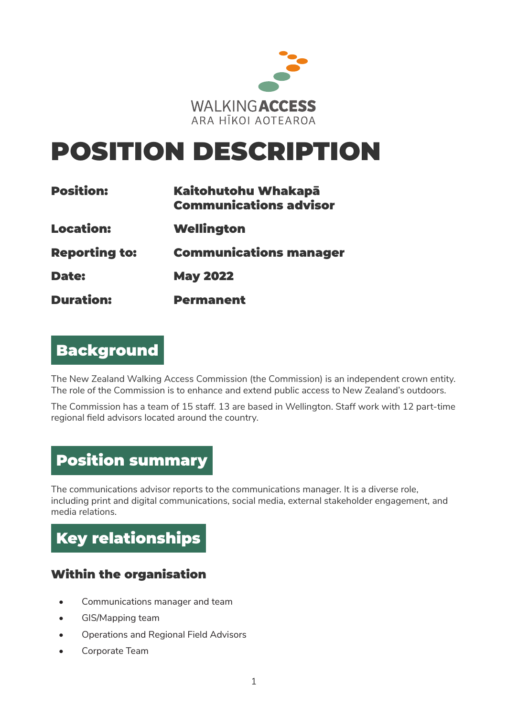

# POSITION DESCRIPTION

| <b>Position:</b><br><b>Location:</b><br><b>Reporting to:</b><br><b>Date:</b> | Kaitohutohu Whakapā<br><b>Communications advisor</b><br>Wellington<br><b>Communications manager</b><br><b>May 2022</b> |                  |                  |
|------------------------------------------------------------------------------|------------------------------------------------------------------------------------------------------------------------|------------------|------------------|
|                                                                              |                                                                                                                        | <b>Duration:</b> | <b>Permanent</b> |

# Background

The New Zealand Walking Access Commission (the Commission) is an independent crown entity. The role of the Commission is to enhance and extend public access to New Zealand's outdoors.

The Commission has a team of 15 staff. 13 are based in Wellington. Staff work with 12 part-time regional field advisors located around the country.

# Position summary

The communications advisor reports to the communications manager. It is a diverse role, including print and digital communications, social media, external stakeholder engagement, and media relations.



# Within the organisation

- Communications manager and team
- GIS/Mapping team
- Operations and Regional Field Advisors
- Corporate Team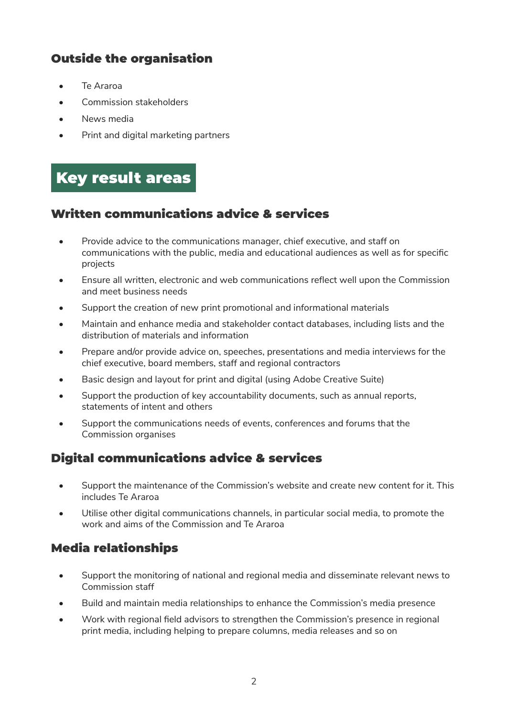# Outside the organisation

- Te Araroa
- Commission stakeholders
- News media
- Print and digital marketing partners

# Key result areas

#### Written communications advice & services

- Provide advice to the communications manager, chief executive, and staff on communications with the public, media and educational audiences as well as for specific projects
- Ensure all written, electronic and web communications reflect well upon the Commission and meet business needs
- Support the creation of new print promotional and informational materials
- Maintain and enhance media and stakeholder contact databases, including lists and the distribution of materials and information
- Prepare and/or provide advice on, speeches, presentations and media interviews for the chief executive, board members, staff and regional contractors
- Basic design and layout for print and digital (using Adobe Creative Suite)
- Support the production of key accountability documents, such as annual reports, statements of intent and others
- Support the communications needs of events, conferences and forums that the Commission organises

# Digital communications advice & services

- Support the maintenance of the Commission's website and create new content for it. This includes Te Araroa
- Utilise other digital communications channels, in particular social media, to promote the work and aims of the Commission and Te Araroa

# Media relationships

- Support the monitoring of national and regional media and disseminate relevant news to Commission staff
- Build and maintain media relationships to enhance the Commission's media presence
- Work with regional field advisors to strengthen the Commission's presence in regional print media, including helping to prepare columns, media releases and so on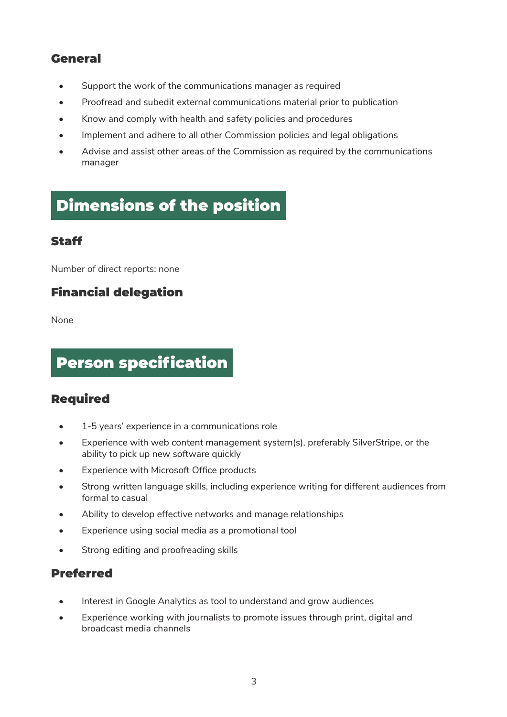### General

- Support the work of the communications manager as required
- Proofread and subedit external communications material prior to publication
- Know and comply with health and safety policies and procedures
- Implement and adhere to all other Commission policies and legal obligations
- Advise and assist other areas of the Commission as required by the communications manager

# Dimensions of the position

#### Staff

Number of direct reports: none

# Financial delegation

None

# Person specification

#### Required

- 1-5 years' experience in a communications role
- Experience with web content management system(s), preferably SilverStripe, or the ability to pick up new software quickly
- Experience with Microsoft Office products
- Strong written language skills, including experience writing for different audiences from formal to casual
- Ability to develop effective networks and manage relationships
- Experience using social media as a promotional tool
- Strong editing and proofreading skills

#### Preferred

- Interest in Google Analytics as tool to understand and grow audiences
- Experience working with journalists to promote issues through print, digital and broadcast media channels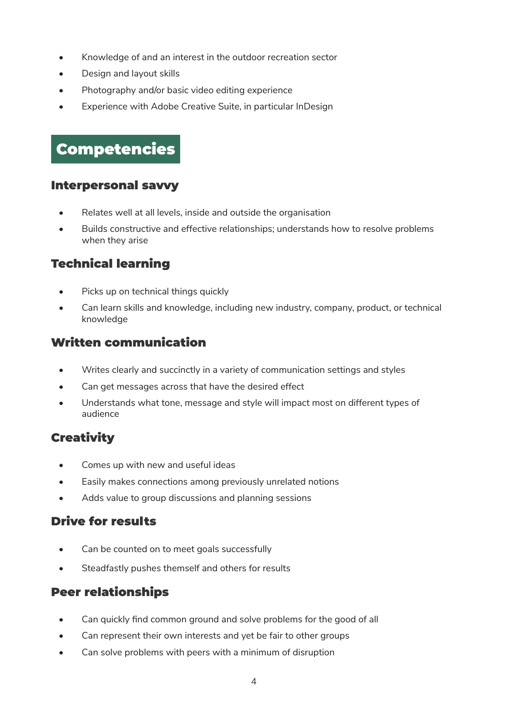- Knowledge of and an interest in the outdoor recreation sector
- Design and layout skills
- Photography and/or basic video editing experience
- Experience with Adobe Creative Suite, in particular InDesign

# Competencies

#### Interpersonal savvy

- Relates well at all levels, inside and outside the organisation
- Builds constructive and effective relationships; understands how to resolve problems when they arise

# Technical learning

- Picks up on technical things quickly
- Can learn skills and knowledge, including new industry, company, product, or technical knowledge

# Written communication

- Writes clearly and succinctly in a variety of communication settings and styles
- Can get messages across that have the desired effect
- Understands what tone, message and style will impact most on different types of audience

# **Creativity**

- Comes up with new and useful ideas
- Easily makes connections among previously unrelated notions
- Adds value to group discussions and planning sessions

# Drive for results

- Can be counted on to meet goals successfully
- Steadfastly pushes themself and others for results

# Peer relationships

- Can quickly find common ground and solve problems for the good of all
- Can represent their own interests and yet be fair to other groups
- Can solve problems with peers with a minimum of disruption